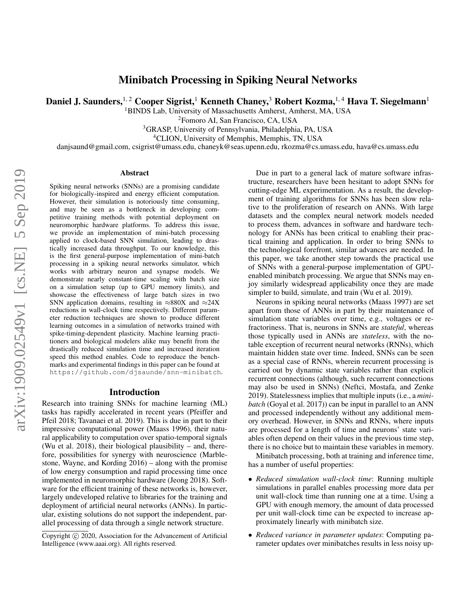# Minibatch Processing in Spiking Neural Networks

Daniel J. Saunders,<sup>1, 2</sup> Cooper Sigrist,<sup>1</sup> Kenneth Chaney,<sup>3</sup> Robert Kozma,<sup>1, 4</sup> Hava T. Siegelmann<sup>1</sup>

<sup>1</sup>BINDS Lab, University of Massachusetts Amherst, Amherst, MA, USA

<sup>2</sup>Fomoro AI, San Francisco, CA, USA

<sup>3</sup>GRASP, University of Pennsylvania, Philadelphia, PA, USA

<sup>4</sup>CLION, University of Memphis, Memphis, TN, USA

danjsaund@gmail.com, csigrist@umass.edu, chaneyk@seas.upenn.edu, rkozma@cs.umass.edu, hava@cs.umass.edu

#### Abstract

Spiking neural networks (SNNs) are a promising candidate for biologically-inspired and energy efficient computation. However, their simulation is notoriously time consuming, and may be seen as a bottleneck in developing competitive training methods with potential deployment on neuromorphic hardware platforms. To address this issue, we provide an implementation of mini-batch processing applied to clock-based SNN simulation, leading to drastically increased data throughput. To our knowledge, this is the first general-purpose implementation of mini-batch processing in a spiking neural networks simulator, which works with arbitrary neuron and synapse models. We demonstrate nearly constant-time scaling with batch size on a simulation setup (up to GPU memory limits), and showcase the effectiveness of large batch sizes in two SNN application domains, resulting in  $\approx 880X$  and  $\approx 24X$ reductions in wall-clock time respectively. Different parameter reduction techniques are shown to produce different learning outcomes in a simulation of networks trained with spike-timing-dependent plasticity. Machine learning practitioners and biological modelers alike may benefit from the drastically reduced simulation time and increased iteration speed this method enables. Code to reproduce the benchmarks and experimental findings in this paper can be found at https://github.com/djsaunde/snn-minibatch.

#### Introduction

Research into training SNNs for machine learning (ML) tasks has rapidly accelerated in recent years (Pfeiffer and Pfeil 2018; Tavanaei et al. 2019). This is due in part to their impressive computational power (Maass 1996), their natural applicability to computation over spatio-temporal signals (Wu et al. 2018), their biological plausibility – and, therefore, possibilities for synergy with neuroscience (Marblestone, Wayne, and Kording 2016) – along with the promise of low energy consumption and rapid processing time once implemented in neuromorphic hardware (Jeong 2018). Software for the efficient training of these networks is, however, largely undeveloped relative to libraries for the training and deployment of artificial neural networks (ANNs). In particular, existing solutions do not support the independent, parallel processing of data through a single network structure.

Due in part to a general lack of mature software infrastructure, researchers have been hesitant to adopt SNNs for cutting-edge ML experimentation. As a result, the development of training algorithms for SNNs has been slow relative to the proliferation of research on ANNs. With large datasets and the complex neural network models needed to process them, advances in software and hardware technology for ANNs has been critical to enabling their practical training and application. In order to bring SNNs to the technological forefront, similar advances are needed. In this paper, we take another step towards the practical use of SNNs with a general-purpose implementation of GPUenabled minibatch processing. We argue that SNNs may enjoy similarly widespread applicability once they are made simpler to build, simulate, and train (Wu et al. 2019).

Neurons in spiking neural networks (Maass 1997) are set apart from those of ANNs in part by their maintenance of simulation state variables over time, e.g., voltages or refractoriness. That is, neurons in SNNs are *stateful*, whereas those typically used in ANNs are *stateless*, with the notable exception of recurrent neural networks (RNNs), which maintain hidden state over time. Indeed, SNNs can be seen as a special case of RNNs, wherein recurrent processing is carried out by dynamic state variables rather than explicit recurrent connections (although, such recurrent connections may also be used in SNNs) (Neftci, Mostafa, and Zenke 2019). Statelessness implies that multiple inputs (i.e., a *minibatch* (Goyal et al. 2017)) can be input in parallel to an ANN and processed independently without any additional memory overhead. However, in SNNs and RNNs, where inputs are processed for a length of time and neurons' state variables often depend on their values in the previous time step, there is no choice but to maintain these variables in memory.

Minibatch processing, both at training and inference time, has a number of useful properties:

- *Reduced simulation wall-clock time*: Running multiple simulations in parallel enables processing more data per unit wall-clock time than running one at a time. Using a GPU with enough memory, the amount of data processed per unit wall-clock time can be expected to increase approximately linearly with minibatch size.
- *Reduced variance in parameter updates*: Computing parameter updates over minibatches results in less noisy up-

Copyright (c) 2020, Association for the Advancement of Artificial Intelligence (www.aaai.org). All rights reserved.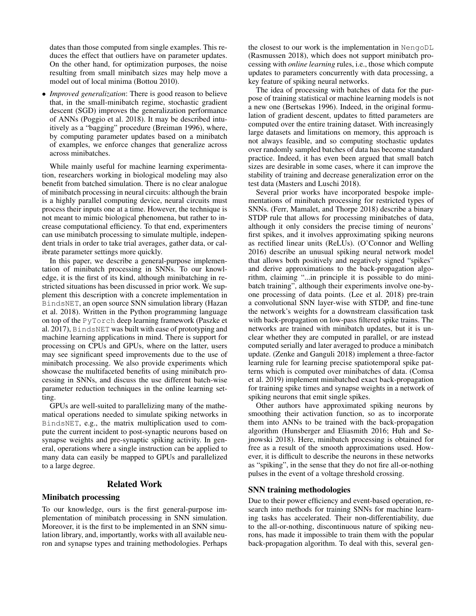dates than those computed from single examples. This reduces the effect that outliers have on parameter updates. On the other hand, for optimization purposes, the noise resulting from small minibatch sizes may help move a model out of local minima (Bottou 2010).

• *Improved generalization*: There is good reason to believe that, in the small-minibatch regime, stochastic gradient descent (SGD) improves the generalization performance of ANNs (Poggio et al. 2018). It may be described intuitively as a "bagging" procedure (Breiman 1996), where, by computing parameter updates based on a minibatch of examples, we enforce changes that generalize across across minibatches.

While mainly useful for machine learning experimentation, researchers working in biological modeling may also benefit from batched simulation. There is no clear analogue of minibatch processing in neural circuits: although the brain is a highly parallel computing device, neural circuits must process their inputs one at a time. However, the technique is not meant to mimic biological phenomena, but rather to increase computational efficiency. To that end, experimenters can use minibatch processing to simulate multiple, independent trials in order to take trial averages, gather data, or calibrate parameter settings more quickly.

In this paper, we describe a general-purpose implementation of minibatch processing in SNNs. To our knowledge, it is the first of its kind, although minibatching in restricted situations has been discussed in prior work. We supplement this description with a concrete implementation in BindsNET, an open source SNN simulation library (Hazan et al. 2018). Written in the Python programming language on top of the PyTorch deep learning framework (Paszke et al. 2017), BindsNET was built with ease of prototyping and machine learning applications in mind. There is support for processing on CPUs and GPUs, where on the latter, users may see significant speed improvements due to the use of minibatch processing. We also provide experiments which showcase the multifaceted benefits of using minibatch processing in SNNs, and discuss the use different batch-wise parameter reduction techniques in the online learning setting.

GPUs are well-suited to parallelizing many of the mathematical operations needed to simulate spiking networks in BindsNET, e.g., the matrix multiplication used to compute the current incident to post-synaptic neurons based on synapse weights and pre-synaptic spiking activity. In general, operations where a single instruction can be applied to many data can easily be mapped to GPUs and parallelized to a large degree.

### Related Work

### Minibatch processing

To our knowledge, ours is the first general-purpose implementation of minibatch processing in SNN simulation. Moreover, it is the first to be implemented in an SNN simulation library, and, importantly, works with all available neuron and synapse types and training methodologies. Perhaps

the closest to our work is the implementation in NengoDL (Rasmussen 2018), which does not support minibatch processing with *online learning* rules, i.e., those which compute updates to parameters concurrently with data processing, a key feature of spiking neural networks.

The idea of processing with batches of data for the purpose of training statistical or machine learning models is not a new one (Bertsekas 1996). Indeed, in the original formulation of gradient descent, updates to fitted parameters are computed over the entire training dataset. With increasingly large datasets and limitations on memory, this approach is not always feasible, and so computing stochastic updates over randomly sampled batches of data has become standard practice. Indeed, it has even been argued that small batch sizes are desirable in some cases, where it can improve the stability of training and decrease generalization error on the test data (Masters and Luschi 2018).

Several prior works have incorporated bespoke implementations of minibatch processing for restricted types of SNNs. (Ferr, Mamalet, and Thorpe 2018) describe a binary STDP rule that allows for processing minibatches of data, although it only considers the precise timing of neurons' first spikes, and it involves approximating spiking neurons as rectified linear units (ReLUs). (O'Connor and Welling 2016) describe an unusual spiking neural network model that allows both positively and negatively signed "spikes" and derive approximations to the back-propagation algorithm, claiming "...in principle it is possible to do minibatch training", although their experiments involve one-byone processing of data points. (Lee et al. 2018) pre-train a convolutional SNN layer-wise with STDP, and fine-tune the network's weights for a downstream classification task with back-propagation on low-pass filtered spike trains. The networks are trained with minibatch updates, but it is unclear whether they are computed in parallel, or are instead computed serially and later averaged to produce a minibatch update. (Zenke and Ganguli 2018) implement a three-factor learning rule for learning precise spatiotemporal spike patterns which is computed over minibatches of data. (Comsa et al. 2019) implement minibatched exact back-propagation for training spike times and synapse weights in a network of spiking neurons that emit single spikes.

Other authors have approximated spiking neurons by smoothing their activation function, so as to incorporate them into ANNs to be trained with the back-propagation algorithm (Hunsberger and Eliasmith 2016; Huh and Sejnowski 2018). Here, minibatch processing is obtained for free as a result of the smooth approximations used. However, it is difficult to describe the neurons in these networks as "spiking", in the sense that they do not fire all-or-nothing pulses in the event of a voltage threshold crossing.

#### SNN training methodologies

Due to their power efficiency and event-based operation, research into methods for training SNNs for machine learning tasks has accelerated. Their non-differentiability, due to the all-or-nothing, discontinuous nature of spiking neurons, has made it impossible to train them with the popular back-propagation algorithm. To deal with this, several gen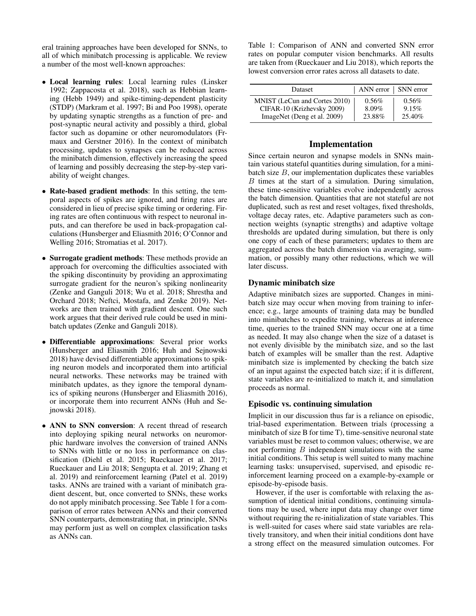eral training approaches have been developed for SNNs, to all of which minibatch processing is applicable. We review a number of the most well-known approaches:

- Local learning rules: Local learning rules (Linsker 1992; Zappacosta et al. 2018), such as Hebbian learning (Hebb 1949) and spike-timing-dependent plasticity (STDP) (Markram et al. 1997; Bi and Poo 1998), operate by updating synaptic strengths as a function of pre- and post-synaptic neural activity and possibly a third, global factor such as dopamine or other neuromodulators (Frmaux and Gerstner 2016). In the context of minibatch processing, updates to synapses can be reduced across the minibatch dimension, effectively increasing the speed of learning and possibly decreasing the step-by-step variability of weight changes.
- Rate-based gradient methods: In this setting, the temporal aspects of spikes are ignored, and firing rates are considered in lieu of precise spike timing or ordering. Firing rates are often continuous with respect to neuronal inputs, and can therefore be used in back-propagation calculations (Hunsberger and Eliasmith 2016; O'Connor and Welling 2016; Stromatias et al. 2017).
- Surrogate gradient methods: These methods provide an approach for overcoming the difficulties associated with the spiking discontinuity by providing an approximating surrogate gradient for the neuron's spiking nonlinearity (Zenke and Ganguli 2018; Wu et al. 2018; Shrestha and Orchard 2018; Neftci, Mostafa, and Zenke 2019). Networks are then trained with gradient descent. One such work argues that their derived rule could be used in minibatch updates (Zenke and Ganguli 2018).
- Differentiable approximations: Several prior works (Hunsberger and Eliasmith 2016; Huh and Sejnowski 2018) have devised differentiable approximations to spiking neuron models and incorporated them into artificial neural networks. These networks may be trained with minibatch updates, as they ignore the temporal dynamics of spiking neurons (Hunsberger and Eliasmith 2016), or incorporate them into recurrent ANNs (Huh and Sejnowski 2018).
- ANN to SNN conversion: A recent thread of research into deploying spiking neural networks on neuromorphic hardware involves the conversion of trained ANNs to SNNs with little or no loss in performance on classification (Diehl et al. 2015; Rueckauer et al. 2017; Rueckauer and Liu 2018; Sengupta et al. 2019; Zhang et al. 2019) and reinforcement learning (Patel et al. 2019) tasks. ANNs are trained with a variant of minibatch gradient descent, but, once converted to SNNs, these works do not apply minibatch processing. See Table 1 for a comparison of error rates between ANNs and their converted SNN counterparts, demonstrating that, in principle, SNNs may perform just as well on complex classification tasks as ANNs can.

Table 1: Comparison of ANN and converted SNN error rates on popular computer vision benchmarks. All results are taken from (Rueckauer and Liu 2018), which reports the lowest conversion error rates across all datasets to date.

| <b>Dataset</b>                | ANN error $ $ SNN error |         |
|-------------------------------|-------------------------|---------|
| MNIST (LeCun and Cortes 2010) | $0.56\%$                | 0.56%   |
| CIFAR-10 (Krizhevsky 2009)    | 8.09%                   | 9.15%   |
| ImageNet (Deng et al. 2009)   | 23.88%                  | 25.40\% |

## Implementation

Since certain neuron and synapse models in SNNs maintain various stateful quantities during simulation, for a minibatch size  $B$ , our implementation duplicates these variables B times at the start of a simulation. During simulation, these time-sensitive variables evolve independently across the batch dimension. Quantities that are not stateful are not duplicated, such as rest and reset voltages, fixed thresholds, voltage decay rates, etc. Adaptive parameters such as connection weights (synaptic strengths) and adaptive voltage thresholds are updated during simulation, but there is only one copy of each of these parameters; updates to them are aggregated across the batch dimension via averaging, summation, or possibly many other reductions, which we will later discuss.

### Dynamic minibatch size

Adaptive minibatch sizes are supported. Changes in minibatch size may occur when moving from training to inference; e.g., large amounts of training data may be bundled into minibatches to expedite training, whereas at inference time, queries to the trained SNN may occur one at a time as needed. It may also change when the size of a dataset is not evenly divisible by the minibatch size, and so the last batch of examples will be smaller than the rest. Adaptive minibatch size is implemented by checking the batch size of an input against the expected batch size; if it is different, state variables are re-initialized to match it, and simulation proceeds as normal.

### Episodic vs. continuing simulation

Implicit in our discussion thus far is a reliance on episodic, trial-based experimentation. Between trials (processing a minibatch of size B for time T), time-sensitive neuronal state variables must be reset to common values; otherwise, we are not performing  $B$  independent simulations with the same initial conditions. This setup is well suited to many machine learning tasks: unsupervised, supervised, and episodic reinforcement learning proceed on a example-by-example or episode-by-episode basis.

However, if the user is comfortable with relaxing the assumption of identical initial conditions, continuing simulations may be used, where input data may change over time without requiring the re-initialization of state variables. This is well-suited for cases where said state variables are relatively transitory, and when their initial conditions dont have a strong effect on the measured simulation outcomes. For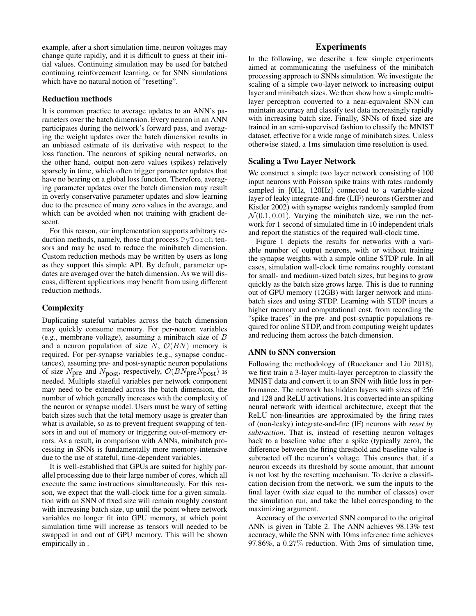example, after a short simulation time, neuron voltages may change quite rapidly, and it is difficult to guess at their initial values. Continuing simulation may be used for batched continuing reinforcement learning, or for SNN simulations which have no natural notion of "resetting".

### Reduction methods

It is common practice to average updates to an ANN's parameters over the batch dimension. Every neuron in an ANN participates during the network's forward pass, and averaging the weight updates over the batch dimension results in an unbiased estimate of its derivative with respect to the loss function. The neurons of spiking neural networks, on the other hand, output non-zero values (spikes) relatively sparsely in time, which often trigger parameter updates that have no bearing on a global loss function. Therefore, averaging parameter updates over the batch dimension may result in overly conservative parameter updates and slow learning due to the presence of many zero values in the average, and which can be avoided when not training with gradient descent.

For this reason, our implementation supports arbitrary reduction methods, namely, those that process PyTorch tensors and may be used to reduce the minibatch dimension. Custom reduction methods may be written by users as long as they support this simple API. By default, parameter updates are averaged over the batch dimension. As we will discuss, different applications may benefit from using different reduction methods.

### **Complexity**

Duplicating stateful variables across the batch dimension may quickly consume memory. For per-neuron variables (e.g., membrane voltage), assuming a minibatch size of B and a neuron population of size  $N$ ,  $\mathcal{O}(BN)$  memory is required. For per-synapse variables (e.g., synapse conductances), assuming pre- and post-synaptic neuron populations of size Npre and N<sub>post</sub>, respectively,  $O(BN<sub>pre</sub>N<sub>post</sub>)$  is needed. Multiple stateful variables per network component may need to be extended across the batch dimension, the number of which generally increases with the complexity of the neuron or synapse model. Users must be wary of setting batch sizes such that the total memory usage is greater than what is available, so as to prevent frequent swapping of tensors in and out of memory or triggering out-of-memory errors. As a result, in comparison with ANNs, minibatch processing in SNNs is fundamentally more memory-intensive due to the use of stateful, time-dependent variables.

It is well-established that GPUs are suited for highly parallel processing due to their large number of cores, which all execute the same instructions simultaneously. For this reason, we expect that the wall-clock time for a given simulation with an SNN of fixed size will remain roughly constant with increasing batch size, up until the point where network variables no longer fit into GPU memory, at which point simulation time will increase as tensors will needed to be swapped in and out of GPU memory. This will be shown empirically in .

## **Experiments**

In the following, we describe a few simple experiments aimed at communicating the usefulness of the minibatch processing approach to SNNs simulation. We investigate the scaling of a simple two-layer network to increasing output layer and minibatch sizes. We then show how a simple multilayer perceptron converted to a near-equivalent SNN can maintain accuracy and classify test data increasingly rapidly with increasing batch size. Finally, SNNs of fixed size are trained in an semi-supervised fashion to classify the MNIST dataset, effective for a wide range of minibatch sizes. Unless otherwise stated, a 1ms simulation time resolution is used.

#### Scaling a Two Layer Network

We construct a simple two layer network consisting of 100 input neurons with Poisson spike trains with rates randomly sampled in [0Hz, 120Hz] connected to a variable-sized layer of leaky integrate-and-fire (LIF) neurons (Gerstner and Kistler 2002) with synapse weights randomly sampled from  $\mathcal{N}(0.1, 0.01)$ . Varying the minibatch size, we run the network for 1 second of simulated time in 10 independent trials and report the statistics of the required wall-clock time.

Figure 1 depicts the results for networks with a variable number of output neurons, with or without training the synapse weights with a simple online STDP rule. In all cases, simulation wall-clock time remains roughly constant for small- and medium-sized batch sizes, but begins to grow quickly as the batch size grows large. This is due to running out of GPU memory (12GB) with larger network and minibatch sizes and using STDP. Learning with STDP incurs a higher memory and computational cost, from recording the "spike traces" in the pre- and post-synaptic populations required for online STDP, and from computing weight updates and reducing them across the batch dimension.

#### ANN to SNN conversion

Following the methodology of (Rueckauer and Liu 2018), we first train a 3-layer multi-layer perceptron to classify the MNIST data and convert it to an SNN with little loss in performance. The network has hidden layers with sizes of 256 and 128 and ReLU activations. It is converted into an spiking neural network with identical architecture, except that the ReLU non-linearities are approximated by the firing rates of (non-leaky) integrate-and-fire (IF) neurons with *reset by subtraction*. That is, instead of resetting neuron voltages back to a baseline value after a spike (typically zero), the difference between the firing threshold and baseline value is subtracted off the neuron's voltage. This ensures that, if a neuron exceeds its threshold by some amount, that amount is not lost by the resetting mechanism. To derive a classification decision from the network, we sum the inputs to the final layer (with size equal to the number of classes) over the simulation run, and take the label corresponding to the maximizing argument.

Accuracy of the converted SNN compared to the original ANN is given in Table 2. The ANN achieves 98.13% test accuracy, while the SNN with 10ms inference time achieves 97.86%, a 0.27% reduction. With 3ms of simulation time,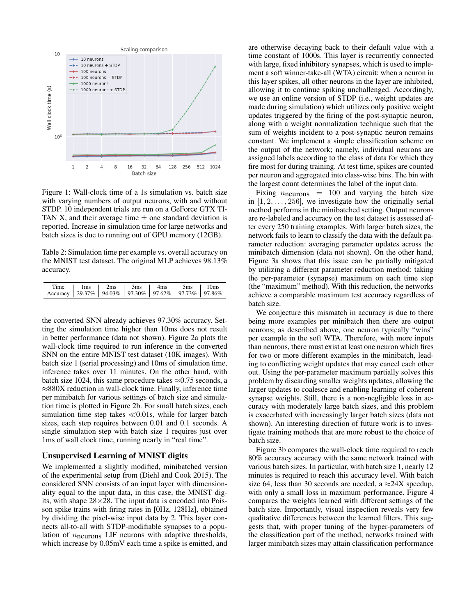

Figure 1: Wall-clock time of a 1s simulation vs. batch size with varying numbers of output neurons, with and without STDP. 10 independent trials are run on a GeForce GTX TI-TAN X, and their average time  $\pm$  one standard deviation is reported. Increase in simulation time for large networks and batch sizes is due to running out of GPU memory (12GB).

Table 2: Simulation time per example vs. overall accuracy on the MNIST test dataset. The original MLP achieves 98.13% accuracy.

| Time   1ms   2ms   3ms   4ms   5ms   10ms<br>Accuracy   29.37%   94.03%   97.30%   97.62%   97.73%   97.86% |  |  |  |
|-------------------------------------------------------------------------------------------------------------|--|--|--|
|                                                                                                             |  |  |  |

the converted SNN already achieves 97.30% accuracy. Setting the simulation time higher than 10ms does not result in better performance (data not shown). Figure 2a plots the wall-clock time required to run inference in the converted SNN on the entire MNIST test dataset (10K images). With batch size 1 (serial processing) and 10ms of simulation time, inference takes over 11 minutes. On the other hand, with batch size 1024, this same procedure takes  $\approx 0.75$  seconds, a ≈880X reduction in wall-clock time. Finally, inference time per minibatch for various settings of batch size and simulation time is plotted in Figure 2b. For small batch sizes, each simulation time step takes  $\ll 0.01$ s, while for larger batch sizes, each step requires between 0.01 and 0.1 seconds. A single simulation step with batch size 1 requires just over 1ms of wall clock time, running nearly in "real time".

#### Unsupervised Learning of MNIST digits

We implemented a slightly modified, minibatched version of the experimental setup from (Diehl and Cook 2015). The considered SNN consists of an input layer with dimensionality equal to the input data, in this case, the MNIST digits, with shape  $28\times28$ . The input data is encoded into Poisson spike trains with firing rates in [0Hz, 128Hz], obtained by dividing the pixel-wise input data by 2. This layer connects all-to-all with STDP-modifiable synapses to a population of  $n_{\text{neurons}}$  LIF neurons with adaptive thresholds, which increase by 0.05mV each time a spike is emitted, and

are otherwise decaying back to their default value with a time constant of 1000s. This layer is recurrently connected with large, fixed inhibitory synapses, which is used to implement a soft winner-take-all (WTA) circuit: when a neuron in this layer spikes, all other neurons in the layer are inhibited, allowing it to continue spiking unchallenged. Accordingly, we use an online version of STDP (i.e., weight updates are made during simulation) which utilizes only positive weight updates triggered by the firing of the post-synaptic neuron, along with a weight normalization technique such that the sum of weights incident to a post-synaptic neuron remains constant. We implement a simple classification scheme on the output of the network; namely, individual neurons are assigned labels according to the class of data for which they fire most for during training. At test time, spikes are counted per neuron and aggregated into class-wise bins. The bin with the largest count determines the label of the input data.

Fixing  $n_{\text{neurons}} = 100$  and varying the batch size in  $[1, 2, \ldots, 256]$ , we investigate how the originally serial method performs in the minibatched setting. Output neurons are re-labeled and accuracy on the test dataset is assessed after every 250 training examples. With larger batch sizes, the network fails to learn to classify the data with the default parameter reduction: averaging parameter updates across the minibatch dimension (data not shown). On the other hand, Figure 3a shows that this issue can be partially mitigated by utilizing a different parameter reduction method: taking the per-parameter (synapse) maximum on each time step (the "maximum" method). With this reduction, the networks achieve a comparable maximum test accuracy regardless of batch size.

We conjecture this mismatch in accuracy is due to there being more examples per minibatch then there are output neurons; as described above, one neuron typically "wins" per example in the soft WTA. Therefore, with more inputs than neurons, there must exist at least one neuron which fires for two or more different examples in the minibatch, leading to conflicting weight updates that may cancel each other out. Using the per-parameter maximum partially solves this problem by discarding smaller weights updates, allowing the larger updates to coalesce and enabling learning of coherent synapse weights. Still, there is a non-negligible loss in accuracy with moderately large batch sizes, and this problem is exacerbated with increasingly larger batch sizes (data not shown). An interesting direction of future work is to investigate training methods that are more robust to the choice of batch size.

Figure 3b compares the wall-clock time required to reach 80% accuracy accuracy with the same network trained with various batch sizes. In particular, with batch size 1, nearly 12 minutes is required to reach this accuracy level. With batch size 64, less than 30 seconds are needed, a  $\approx$  24X speedup, with only a small loss in maximum performance. Figure 4 compares the weights learned with different settings of the batch size. Importantly, visual inspection reveals very few qualitative differences between the learned filters. This suggests that, with proper tuning of the hyper-parameters of the classification part of the method, networks trained with larger minibatch sizes may attain classification performance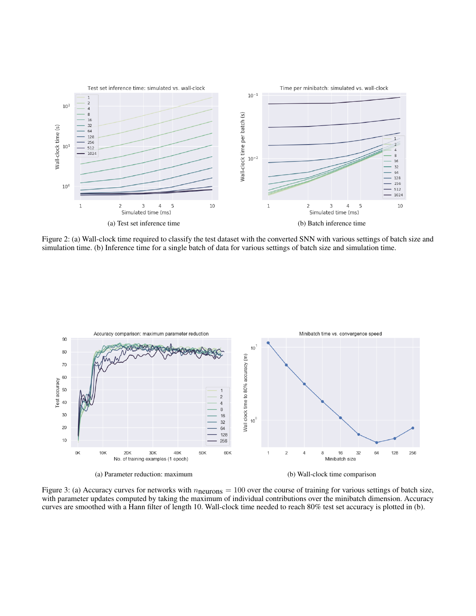

Figure 2: (a) Wall-clock time required to classify the test dataset with the converted SNN with various settings of batch size and simulation time. (b) Inference time for a single batch of data for various settings of batch size and simulation time.



Figure 3: (a) Accuracy curves for networks with  $n_{\text{neurons}} = 100$  over the course of training for various settings of batch size, with parameter updates computed by taking the maximum of individual contributions over the minibatch dimension. Accuracy curves are smoothed with a Hann filter of length 10. Wall-clock time needed to reach 80% test set accuracy is plotted in (b).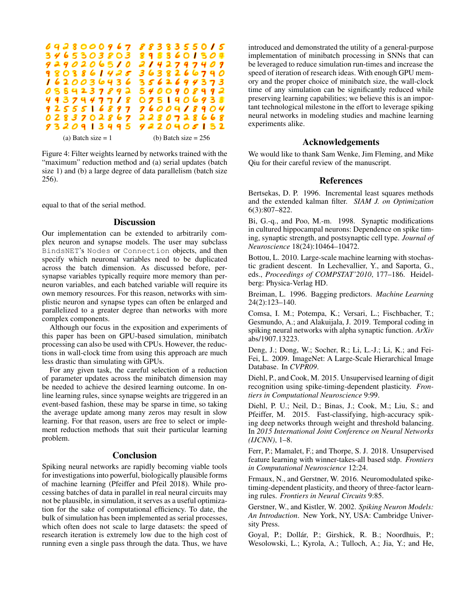

Figure 4: Filter weights learned by networks trained with the "maximum" reduction method and (a) serial updates (batch size 1) and (b) a large degree of data parallelism (batch size 256).

equal to that of the serial method.

### **Discussion**

Our implementation can be extended to arbitrarily complex neuron and synapse models. The user may subclass BindsNET's Nodes or Connection objects, and then specify which neuronal variables need to be duplicated across the batch dimension. As discussed before, persynapse variables typically require more memory than perneuron variables, and each batched variable will require its own memory resources. For this reason, networks with simplistic neuron and synapse types can often be enlarged and parallelized to a greater degree than networks with more complex components.

Although our focus in the exposition and experiments of this paper has been on GPU-based simulation, minibatch processing can also be used with CPUs. However, the reductions in wall-clock time from using this approach are much less drastic than simulating with GPUs.

For any given task, the careful selection of a reduction of parameter updates across the minibatch dimension may be needed to achieve the desired learning outcome. In online learning rules, since synapse weights are triggered in an event-based fashion, these may be sparse in time, so taking the average update among many zeros may result in slow learning. For that reason, users are free to select or implement reduction methods that suit their particular learning problem.

#### **Conclusion**

Spiking neural networks are rapidly becoming viable tools for investigations into powerful, biologically plausible forms of machine learning (Pfeiffer and Pfeil 2018). While processing batches of data in parallel in real neural circuits may not be plausible, in simulation, it serves as a useful optimization for the sake of computational efficiency. To date, the bulk of simulation has been implemented as serial processes, which often does not scale to large datasets: the speed of research iteration is extremely low due to the high cost of running even a single pass through the data. Thus, we have introduced and demonstrated the utility of a general-purpose implementation of minibatch processing in SNNs that can be leveraged to reduce simulation run-times and increase the speed of iteration of research ideas. With enough GPU memory and the proper choice of minibatch size, the wall-clock time of any simulation can be significantly reduced while preserving learning capabilities; we believe this is an important technological milestone in the effort to leverage spiking neural networks in modeling studies and machine learning experiments alike.

#### Acknowledgements

We would like to thank Sam Wenke, Jim Fleming, and Mike Qiu for their careful review of the manuscript.

#### References

Bertsekas, D. P. 1996. Incremental least squares methods and the extended kalman filter. *SIAM J. on Optimization* 6(3):807–822.

Bi, G.-q., and Poo, M.-m. 1998. Synaptic modifications in cultured hippocampal neurons: Dependence on spike timing, synaptic strength, and postsynaptic cell type. *Journal of Neuroscience* 18(24):10464–10472.

Bottou, L. 2010. Large-scale machine learning with stochastic gradient descent. In Lechevallier, Y., and Saporta, G., eds., *Proceedings of COMPSTAT'2010*, 177–186. Heidelberg: Physica-Verlag HD.

Breiman, L. 1996. Bagging predictors. *Machine Learning* 24(2):123–140.

Comsa, I. M.; Potempa, K.; Versari, L.; Fischbacher, T.; Gesmundo, A.; and Alakuijala, J. 2019. Temporal coding in spiking neural networks with alpha synaptic function. *ArXiv* abs/1907.13223.

Deng, J.; Dong, W.; Socher, R.; Li, L.-J.; Li, K.; and Fei-Fei, L. 2009. ImageNet: A Large-Scale Hierarchical Image Database. In *CVPR09*.

Diehl, P., and Cook, M. 2015. Unsupervised learning of digit recognition using spike-timing-dependent plasticity. *Frontiers in Computational Neuroscience* 9:99.

Diehl, P. U.; Neil, D.; Binas, J.; Cook, M.; Liu, S.; and Pfeiffer, M. 2015. Fast-classifying, high-accuracy spiking deep networks through weight and threshold balancing. In *2015 International Joint Conference on Neural Networks (IJCNN)*, 1–8.

Ferr, P.; Mamalet, F.; and Thorpe, S. J. 2018. Unsupervised feature learning with winner-takes-all based stdp. *Frontiers in Computational Neuroscience* 12:24.

Frmaux, N., and Gerstner, W. 2016. Neuromodulated spiketiming-dependent plasticity, and theory of three-factor learning rules. *Frontiers in Neural Circuits* 9:85.

Gerstner, W., and Kistler, W. 2002. *Spiking Neuron Models: An Introduction*. New York, NY, USA: Cambridge University Press.

Goyal, P.; Dollár, P.; Girshick, R. B.; Noordhuis, P.; Wesolowski, L.; Kyrola, A.; Tulloch, A.; Jia, Y.; and He,